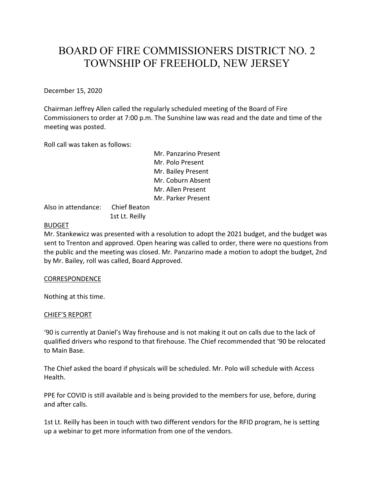# BOARD OF FIRE COMMISSIONERS DISTRICT NO. 2 TOWNSHIP OF FREEHOLD, NEW JERSEY

December 15, 2020

Chairman Jeffrey Allen called the regularly scheduled meeting of the Board of Fire Commissioners to order at 7:00 p.m. The Sunshine law was read and the date and time of the meeting was posted.

Roll call was taken as follows:

Mr. Panzarino Present Mr. Polo Present Mr. Bailey Present Mr. Coburn Absent Mr. Allen Present Mr. Parker Present

Also in attendance: Chief Beaton 1st Lt. Reilly

# BUDGET

Mr. Stankewicz was presented with a resolution to adopt the 2021 budget, and the budget was sent to Trenton and approved. Open hearing was called to order, there were no questions from the public and the meeting was closed. Mr. Panzarino made a motion to adopt the budget, 2nd by Mr. Bailey, roll was called, Board Approved.

CORRESPONDENCE

Nothing at this time.

# CHIEF'S REPORT

'90 is currently at Daniel's Way firehouse and is not making it out on calls due to the lack of qualified drivers who respond to that firehouse. The Chief recommended that '90 be relocated to Main Base.

The Chief asked the board if physicals will be scheduled. Mr. Polo will schedule with Access Health.

PPE for COVID is still available and is being provided to the members for use, before, during and after calls.

1st Lt. Reilly has been in touch with two different vendors for the RFID program, he is setting up a webinar to get more information from one of the vendors.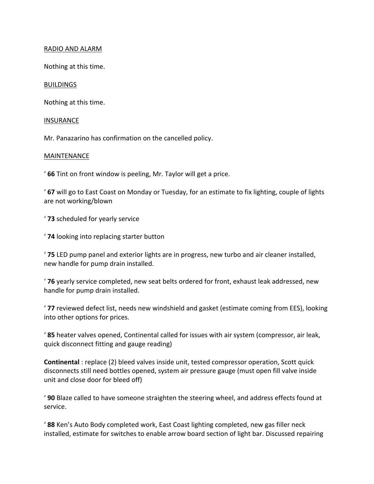## RADIO AND ALARM

Nothing at this time.

## BUILDINGS

Nothing at this time.

#### INSURANCE

Mr. Panazarino has confirmation on the cancelled policy.

## MAINTENANCE

' **66** Tint on front window is peeling, Mr. Taylor will get a price.

' **67** will go to East Coast on Monday or Tuesday, for an estimate to fix lighting, couple of lights are not working/blown

' **73** scheduled for yearly service

' **74** looking into replacing starter button

' **75** LED pump panel and exterior lights are in progress, new turbo and air cleaner installed, new handle for pump drain installed.

' **76** yearly service completed, new seat belts ordered for front, exhaust leak addressed, new handle for pump drain installed.

' **77** reviewed defect list, needs new windshield and gasket (estimate coming from EES), looking into other options for prices.

' **85** heater valves opened, Continental called for issues with air system (compressor, air leak, quick disconnect fitting and gauge reading)

**Continental** : replace (2) bleed valves inside unit, tested compressor operation, Scott quick disconnects still need bottles opened, system air pressure gauge (must open fill valve inside unit and close door for bleed off)

' **90** Blaze called to have someone straighten the steering wheel, and address effects found at service.

' **88** Ken's Auto Body completed work, East Coast lighting completed, new gas filler neck installed, estimate for switches to enable arrow board section of light bar. Discussed repairing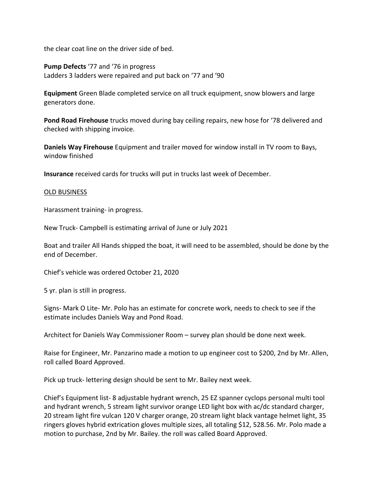the clear coat line on the driver side of bed.

**Pump Defects** '77 and '76 in progress Ladders 3 ladders were repaired and put back on '77 and '90

**Equipment** Green Blade completed service on all truck equipment, snow blowers and large generators done.

**Pond Road Firehouse** trucks moved during bay ceiling repairs, new hose for '78 delivered and checked with shipping invoice.

**Daniels Way Firehouse** Equipment and trailer moved for window install in TV room to Bays, window finished

**Insurance** received cards for trucks will put in trucks last week of December.

#### OLD BUSINESS

Harassment training- in progress.

New Truck- Campbell is estimating arrival of June or July 2021

Boat and trailer All Hands shipped the boat, it will need to be assembled, should be done by the end of December.

Chief's vehicle was ordered October 21, 2020

5 yr. plan is still in progress.

Signs- Mark O Lite- Mr. Polo has an estimate for concrete work, needs to check to see if the estimate includes Daniels Way and Pond Road.

Architect for Daniels Way Commissioner Room – survey plan should be done next week.

Raise for Engineer, Mr. Panzarino made a motion to up engineer cost to \$200, 2nd by Mr. Allen, roll called Board Approved.

Pick up truck- lettering design should be sent to Mr. Bailey next week.

Chief's Equipment list- 8 adjustable hydrant wrench, 25 EZ spanner cyclops personal multi tool and hydrant wrench, 5 stream light survivor orange LED light box with ac/dc standard charger, 20 stream light fire vulcan 120 V charger orange, 20 stream light black vantage helmet light, 35 ringers gloves hybrid extrication gloves multiple sizes, all totaling \$12, 528.56. Mr. Polo made a motion to purchase, 2nd by Mr. Bailey. the roll was called Board Approved.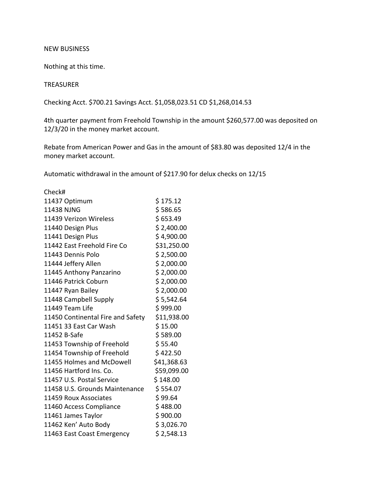#### NEW BUSINESS

Nothing at this time.

# TREASURER

Checking Acct. \$700.21 Savings Acct. \$1,058,023.51 CD \$1,268,014.53

4th quarter payment from Freehold Township in the amount \$260,577.00 was deposited on 12/3/20 in the money market account.

Rebate from American Power and Gas in the amount of \$83.80 was deposited 12/4 in the money market account.

Automatic withdrawal in the amount of \$217.90 for delux checks on 12/15

| Check#                            |             |
|-----------------------------------|-------------|
| 11437 Optimum                     | \$175.12    |
| 11438 NJNG                        | \$586.65    |
| 11439 Verizon Wireless            | \$653.49    |
| 11440 Design Plus                 | \$2,400.00  |
| 11441 Design Plus                 | \$4,900.00  |
| 11442 East Freehold Fire Co       | \$31,250.00 |
| 11443 Dennis Polo                 | \$2,500.00  |
| 11444 Jeffery Allen               | \$2,000.00  |
| 11445 Anthony Panzarino           | \$2,000.00  |
| 11446 Patrick Coburn              | \$2,000.00  |
| 11447 Ryan Bailey                 | \$2,000.00  |
| 11448 Campbell Supply             | \$5,542.64  |
| 11449 Team Life                   | \$999.00    |
| 11450 Continental Fire and Safety | \$11,938.00 |
| 11451 33 East Car Wash            | \$15.00     |
| 11452 B-Safe                      | \$589.00    |
| 11453 Township of Freehold        | \$55.40     |
| 11454 Township of Freehold        | \$422.50    |
| 11455 Holmes and McDowell         | \$41,368.63 |
| 11456 Hartford Ins. Co.           | \$59,099.00 |
| 11457 U.S. Postal Service         | \$148.00    |
| 11458 U.S. Grounds Maintenance    | \$554.07    |
| 11459 Roux Associates             | \$99.64     |
| 11460 Access Compliance           | \$488.00    |
| 11461 James Taylor                | \$900.00    |
| 11462 Ken' Auto Body              | \$3,026.70  |
| 11463 East Coast Emergency        | \$2,548.13  |